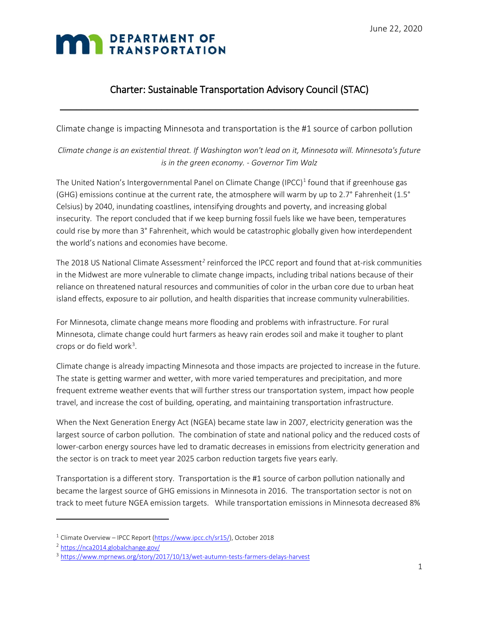## **TRANSPORTATION**

### Charter: Sustainable Transportation Advisory Council (STAC)

 $\_$  , and the set of the set of the set of the set of the set of the set of the set of the set of the set of the set of the set of the set of the set of the set of the set of the set of the set of the set of the set of th

Climate change is impacting Minnesota and transportation is the #1 source of carbon pollution

*Climate change is an existential threat. If Washington won't lead on it, Minnesota will. Minnesota's future is in the green economy. - Governor Tim Walz*

The United Nation's Intergovernmental Panel on Climate Change (IPCC) $<sup>1</sup>$  $<sup>1</sup>$  $<sup>1</sup>$  found that if greenhouse gas</sup> (GHG) emissions continue at the current rate, the atmosphere will warm by up to 2.7° Fahrenheit (1.5° Celsius) by 2040, inundating coastlines, intensifying droughts and poverty, and increasing global insecurity. The report concluded that if we keep burning fossil fuels like we have been, temperatures could rise by more than 3° Fahrenheit, which would be catastrophic globally given how interdependent the world's nations and economies have become.

The 2018 US National Climate Assessment*[2](#page-0-1)* reinforced the IPCC report and found that at-risk communities in the Midwest are more vulnerable to climate change impacts, including tribal nations because of their reliance on threatened natural resources and communities of color in the urban core due to urban heat island effects, exposure to air pollution, and health disparities that increase community vulnerabilities.

For Minnesota, climate change means [more flooding and problems with infrastructure.](https://www.mprnews.org/story/2015/02/04/climate-change-infrastructure) For rural Minnesota, climate change could hurt farmers as heavy rain erodes soil and make it tougher to plant crops o[r do field work](https://www.mprnews.org/story/2017/10/13/wet-autumn-tests-farmers-delays-harvest)<sup>[3](#page-0-2)</sup>.

Climate change is already impacting Minnesota and those impacts are projected to increase in the future. The state is getting warmer and wetter, with more varied temperatures and precipitation, and more frequent extreme weather events that will further stress our transportation system, impact how people travel, and increase the cost of building, operating, and maintaining transportation infrastructure.

When the Next Generation Energy Act (NGEA) became state law in 2007, electricity generation was the largest source of carbon pollution. The combination of state and national policy and the reduced costs of lower-carbon energy sources have led to dramatic decreases in emissions from electricity generation and the sector is on track to meet year 2025 carbon reduction targets five years early.

Transportation is a different story. Transportation is the #1 source of carbon pollution nationally and became the largest source of GHG emissions in Minnesota in 2016. The transportation sector is not on track to meet future NGEA emission targets. While transportation emissions in Minnesota decreased 8%

l

<span id="page-0-0"></span><sup>&</sup>lt;sup>1</sup> Climate Overview - IPCC Report [\(https://www.ipcc.ch/sr15/\)](https://www.ipcc.ch/sr15/), October 2018

<span id="page-0-1"></span><sup>2</sup> <https://nca2014.globalchange.gov/>

<span id="page-0-2"></span><sup>&</sup>lt;sup>3</sup> <https://www.mprnews.org/story/2017/10/13/wet-autumn-tests-farmers-delays-harvest>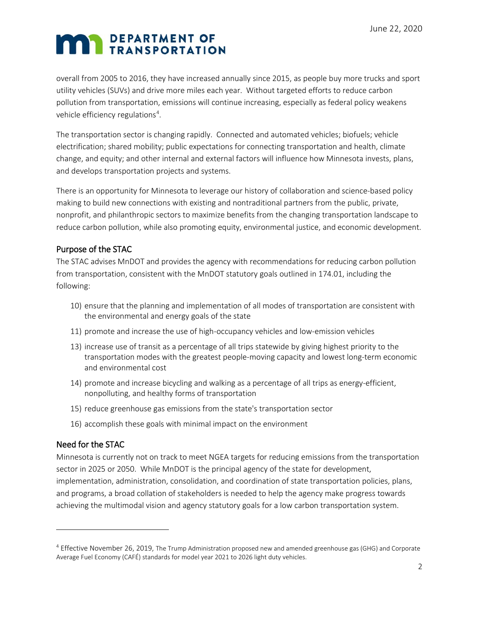overall from 2005 to 2016, they have increased annually since 2015, as people buy more trucks and sport utility vehicles (SUVs) and drive more miles each year. Without targeted efforts to reduce carbon pollution from transportation, emissions will continue increasing, especially as federal policy weakens vehicle efficiency regulations<sup>[4](#page-1-0)</sup>.

The transportation sector is changing rapidly. Connected and automated vehicles; biofuels; vehicle electrification; shared mobility; public expectations for connecting transportation and health, climate change, and equity; and other internal and external factors will influence how Minnesota invests, plans, and develops transportation projects and systems.

There is an opportunity for Minnesota to leverage our history of collaboration and science-based policy making to build new connections with existing and nontraditional partners from the public, private, nonprofit, and philanthropic sectors to maximize benefits from the changing transportation landscape to reduce carbon pollution, while also promoting equity, environmental justice, and economic development.

### Purpose of the STAC

The STAC advises MnDOT and provides the agency with recommendations for reducing carbon pollution from transportation, consistent with the MnDOT statutory goals outlined in 174.01, including the following:

- 10) ensure that the planning and implementation of all modes of transportation are consistent with the environmental and energy goals of the state
- 11) promote and increase the use of high-occupancy vehicles and low-emission vehicles
- 13) increase use of transit as a percentage of all trips statewide by giving highest priority to the transportation modes with the greatest people-moving capacity and lowest long-term economic and environmental cost
- 14) promote and increase bicycling and walking as a percentage of all trips as energy-efficient, nonpolluting, and healthy forms of transportation
- 15) reduce greenhouse gas emissions from the state's transportation sector
- 16) accomplish these goals with minimal impact on the environment

### Need for the STAC

l

Minnesota is currently not on track to meet NGEA targets for reducing emissions from the transportation sector in 2025 or 2050. While MnDOT is the principal agency of the state for development, implementation, administration, consolidation, and coordination of state transportation policies, plans, and programs, a broad collation of stakeholders is needed to help the agency make progress towards achieving the multimodal vision and agency statutory goals for a low carbon transportation system.

<span id="page-1-0"></span><sup>&</sup>lt;sup>4</sup> Effective November 26, 2019, The Trump Administration proposed new and amended greenhouse gas (GHG) and Corporate Average Fuel Economy (CAFÉ) standards for model year 2021 to 2026 light duty vehicles.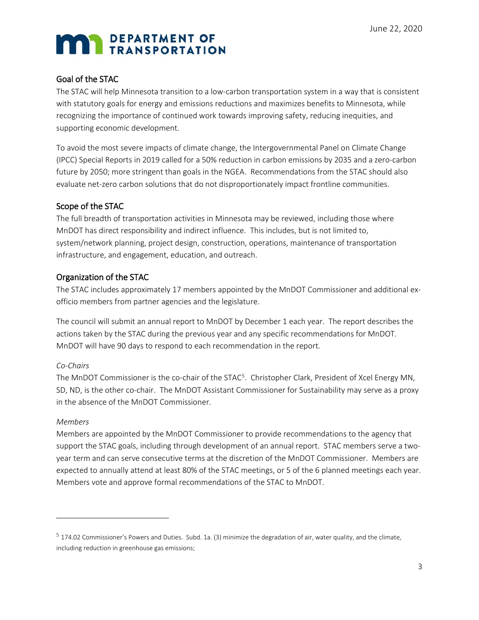#### Goal of the STAC

The STAC will help Minnesota transition to a low-carbon transportation system in a way that is consistent with statutory goals for energy and emissions reductions and maximizes benefits to Minnesota, while recognizing the importance of continued work towards improving safety, reducing inequities, and supporting economic development.

To avoid the most severe impacts of climate change, the Intergovernmental Panel on Climate Change (IPCC) Special Reports in 2019 called for a 50% reduction in carbon emissions by 2035 and a zero-carbon future by 2050; more stringent than goals in the NGEA. Recommendations from the STAC should also evaluate net-zero carbon solutions that do not disproportionately impact frontline communities.

### Scope of the STAC

The full breadth of transportation activities in Minnesota may be reviewed, including those where MnDOT has direct responsibility and indirect influence. This includes, but is not limited to, system/network planning, project design, construction, operations, maintenance of transportation infrastructure, and engagement, education, and outreach.

### Organization of the STAC

The STAC includes approximately 17 members appointed by the MnDOT Commissioner and additional exofficio members from partner agencies and the legislature.

The council will submit an annual report to MnDOT by December 1 each year. The report describes the actions taken by the STAC during the previous year and any specific recommendations for MnDOT. MnDOT will have 90 days to respond to each recommendation in the report.

#### *Co-Chairs*

The MnDOT Commissioner is the co-chair of the STAC<sup>5</sup>. Christopher Clark, President of Xcel Energy MN, SD, ND, is the other co-chair. The MnDOT Assistant Commissioner for Sustainability may serve as a proxy in the absence of the MnDOT Commissioner.

#### *Members*

l

Members are appointed by the MnDOT Commissioner to provide recommendations to the agency that support the STAC goals, including through development of an annual report. STAC members serve a twoyear term and can serve consecutive terms at the discretion of the MnDOT Commissioner. Members are expected to annually attend at least 80% of the STAC meetings, or 5 of the 6 planned meetings each year. Members vote and approve formal recommendations of the STAC to MnDOT.

<span id="page-2-0"></span> $5$  174.02 Commissioner's Powers and Duties. Subd. 1a. (3) minimize the degradation of air, water quality, and the climate, including reduction in greenhouse gas emissions;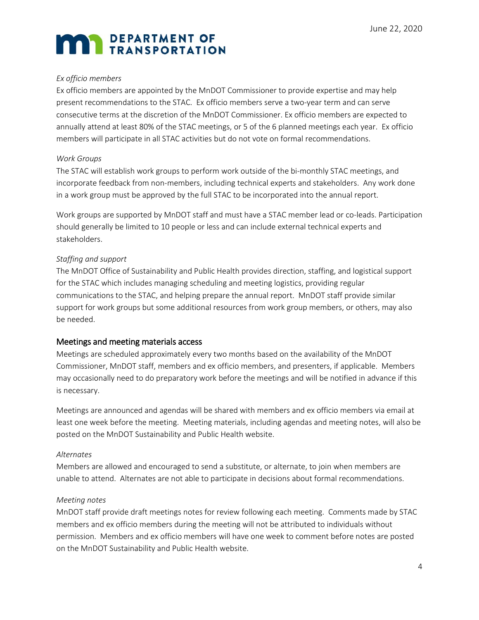#### *Ex officio members*

Ex officio members are appointed by the MnDOT Commissioner to provide expertise and may help present recommendations to the STAC. Ex officio members serve a two-year term and can serve consecutive terms at the discretion of the MnDOT Commissioner. Ex officio members are expected to annually attend at least 80% of the STAC meetings, or 5 of the 6 planned meetings each year. Ex officio members will participate in all STAC activities but do not vote on formal recommendations.

#### *Work Groups*

The STAC will establish work groups to perform work outside of the bi-monthly STAC meetings, and incorporate feedback from non-members, including technical experts and stakeholders. Any work done in a work group must be approved by the full STAC to be incorporated into the annual report.

Work groups are supported by MnDOT staff and must have a STAC member lead or co-leads. Participation should generally be limited to 10 people or less and can include external technical experts and stakeholders.

#### *Staffing and support*

The MnDOT Office of Sustainability and Public Health provides direction, staffing, and logistical support for the STAC which includes managing scheduling and meeting logistics, providing regular communications to the STAC, and helping prepare the annual report. MnDOT staff provide similar support for work groups but some additional resources from work group members, or others, may also be needed.

#### Meetings and meeting materials access

Meetings are scheduled approximately every two months based on the availability of the MnDOT Commissioner, MnDOT staff, members and ex officio members, and presenters, if applicable. Members may occasionally need to do preparatory work before the meetings and will be notified in advance if this is necessary.

Meetings are announced and agendas will be shared with members and ex officio members via email at least one week before the meeting. Meeting materials, including agendas and meeting notes, will also be posted on the MnDOT Sustainability and Public Health website.

#### *Alternates*

Members are allowed and encouraged to send a substitute, or alternate, to join when members are unable to attend. Alternates are not able to participate in decisions about formal recommendations.

#### *Meeting notes*

MnDOT staff provide draft meetings notes for review following each meeting. Comments made by STAC members and ex officio members during the meeting will not be attributed to individuals without permission. Members and ex officio members will have one week to comment before notes are posted on the MnDOT Sustainability and Public Health website.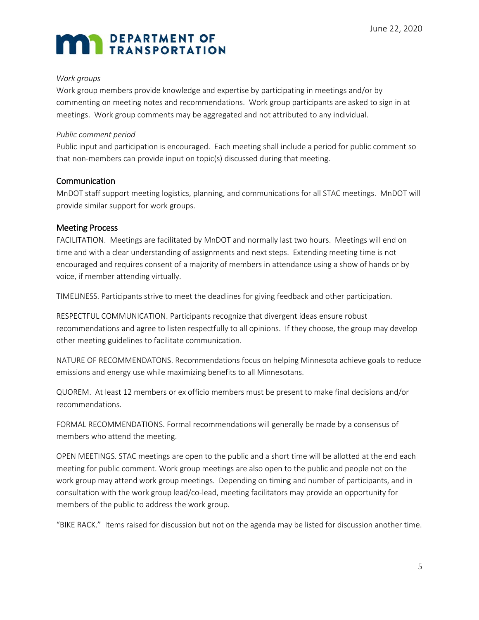#### *Work groups*

Work group members provide knowledge and expertise by participating in meetings and/or by commenting on meeting notes and recommendations. Work group participants are asked to sign in at meetings. Work group comments may be aggregated and not attributed to any individual.

#### *Public comment period*

Public input and participation is encouraged. Each meeting shall include a period for public comment so that non-members can provide input on topic(s) discussed during that meeting.

#### **Communication**

MnDOT staff support meeting logistics, planning, and communications for all STAC meetings. MnDOT will provide similar support for work groups.

#### Meeting Process

FACILITATION. Meetings are facilitated by MnDOT and normally last two hours. Meetings will end on time and with a clear understanding of assignments and next steps. Extending meeting time is not encouraged and requires consent of a majority of members in attendance using a show of hands or by voice, if member attending virtually.

TIMELINESS. Participants strive to meet the deadlines for giving feedback and other participation.

RESPECTFUL COMMUNICATION. Participants recognize that divergent ideas ensure robust recommendations and agree to listen respectfully to all opinions. If they choose, the group may develop other meeting guidelines to facilitate communication.

NATURE OF RECOMMENDATONS. Recommendations focus on helping Minnesota achieve goals to reduce emissions and energy use while maximizing benefits to all Minnesotans.

QUOREM. At least 12 members or ex officio members must be present to make final decisions and/or recommendations.

FORMAL RECOMMENDATIONS. Formal recommendations will generally be made by a consensus of members who attend the meeting.

OPEN MEETINGS. STAC meetings are open to the public and a short time will be allotted at the end each meeting for public comment. Work group meetings are also open to the public and people not on the work group may attend work group meetings. Depending on timing and number of participants, and in consultation with the work group lead/co-lead, meeting facilitators may provide an opportunity for members of the public to address the work group.

"BIKE RACK." Items raised for discussion but not on the agenda may be listed for discussion another time.